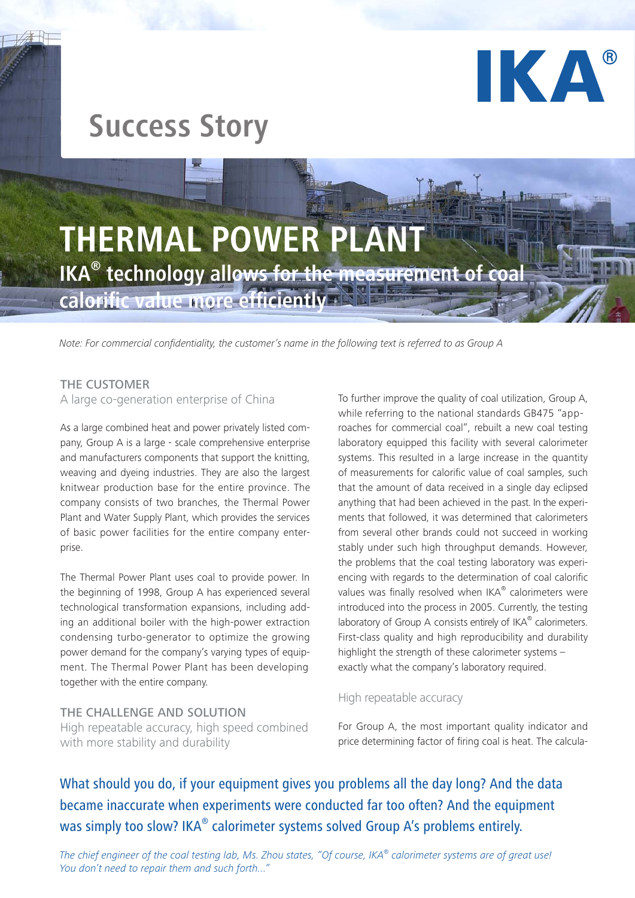

# **Success Story**



*Note: For commercial confidentiality, the customer's name in the following text is referred to as Group A*

# THE CUSTOMER

## A large co-generation enterprise of China

As a large combined heat and power privately listed company, Group A is a large - scale comprehensive enterprise and manufacturers components that support the knitting, weaving and dyeing industries. They are also the largest knitwear production base for the entire province. The company consists of two branches, the Thermal Power Plant and Water Supply Plant, which provides the services of basic power facilities for the entire company enterprise.

The Thermal Power Plant uses coal to provide power. In the beginning of 1998, Group A has experienced several technological transformation expansions, including adding an additional boiler with the high-power extraction condensing turbo-generator to optimize the growing power demand for the company's varying types of equipment. The Thermal Power Plant has been developing together with the entire company.

THE CHALLENGE AND SOLUTION High repeatable accuracy, high speed combined with more stability and durability

To further improve the quality of coal utilization, Group A, while referring to the national standards GB475 "approaches for commercial coal", rebuilt a new coal testing laboratory equipped this facility with several calorimeter systems. This resulted in a large increase in the quantity of measurements for calorific value of coal samples, such that the amount of data received in a single day eclipsed anything that had been achieved in the past. In the experiments that followed, it was determined that calorimeters from several other brands could not succeed in working stably under such high throughput demands. However, the problems that the coal testing laboratory was experiencing with regards to the determination of coal calorific values was finally resolved when IKA® calorimeters were introduced into the process in 2005. Currently, the testing laboratory of Group A consists entirely of IKA® calorimeters. First-class quality and high reproducibility and durability highlight the strength of these calorimeter systems – exactly what the company's laboratory required.

## High repeatable accuracy

For Group A, the most important quality indicator and price determining factor of firing coal is heat. The calcula-

What should you do, if your equipment gives you problems all the day long? And the data became inaccurate when experiments were conducted far too often? And the equipment was simply too slow? IKA® calorimeter systems solved Group A's problems entirely.

*The chief engineer of the coal testing lab, Ms. Zhou states, "Of course, IKA® calorimeter systems are of great use! You don't need to repair them and such forth..."*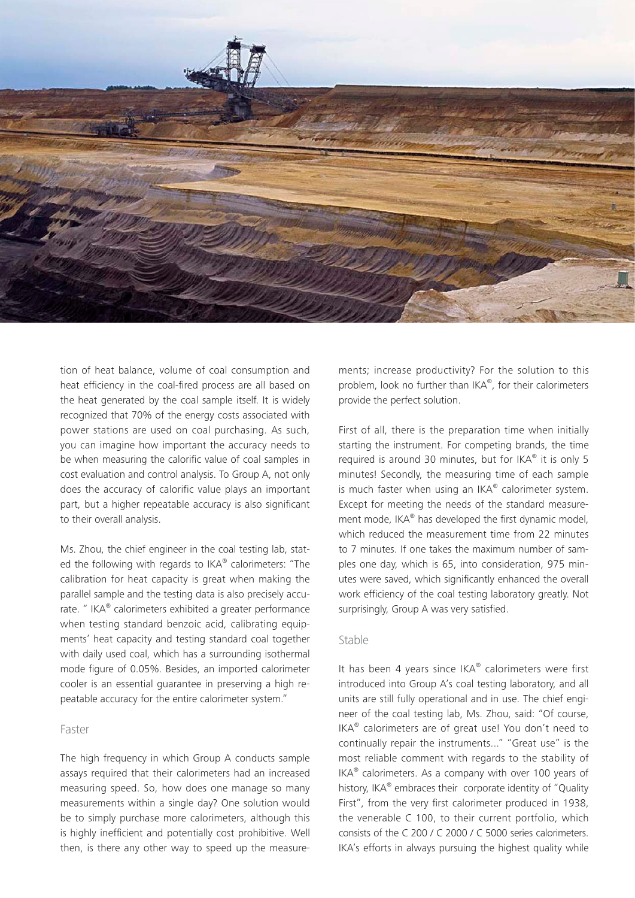

tion of heat balance, volume of coal consumption and heat efficiency in the coal-fired process are all based on the heat generated by the coal sample itself. It is widely recognized that 70% of the energy costs associated with power stations are used on coal purchasing. As such, you can imagine how important the accuracy needs to be when measuring the calorific value of coal samples in cost evaluation and control analysis. To Group A, not only does the accuracy of calorific value plays an important part, but a higher repeatable accuracy is also significant to their overall analysis.

Ms. Zhou, the chief engineer in the coal testing lab, stated the following with regards to IKA® calorimeters: "The calibration for heat capacity is great when making the parallel sample and the testing data is also precisely accurate. " IKA® calorimeters exhibited a greater performance when testing standard benzoic acid, calibrating equipments' heat capacity and testing standard coal together with daily used coal, which has a surrounding isothermal mode figure of 0.05%. Besides, an imported calorimeter cooler is an essential guarantee in preserving a high repeatable accuracy for the entire calorimeter system."

#### Faster

The high frequency in which Group A conducts sample assays required that their calorimeters had an increased measuring speed. So, how does one manage so many measurements within a single day? One solution would be to simply purchase more calorimeters, although this is highly inefficient and potentially cost prohibitive. Well then, is there any other way to speed up the measurements; increase productivity? For the solution to this problem, look no further than IKA®, for their calorimeters provide the perfect solution.

First of all, there is the preparation time when initially starting the instrument. For competing brands, the time required is around 30 minutes, but for IKA® it is only 5 minutes! Secondly, the measuring time of each sample is much faster when using an IKA® calorimeter system. Except for meeting the needs of the standard measurement mode, IKA® has developed the first dynamic model, which reduced the measurement time from 22 minutes to 7 minutes. If one takes the maximum number of samples one day, which is 65, into consideration, 975 minutes were saved, which significantly enhanced the overall work efficiency of the coal testing laboratory greatly. Not surprisingly, Group A was very satisfied.

#### Stable

It has been 4 years since IKA® calorimeters were first introduced into Group A's coal testing laboratory, and all units are still fully operational and in use. The chief engineer of the coal testing lab, Ms. Zhou, said: "Of course, IKA® calorimeters are of great use! You don't need to continually repair the instruments..." "Great use" is the most reliable comment with regards to the stability of IKA<sup>®</sup> calorimeters. As a company with over 100 years of history, IKA® embraces their corporate identity of "Quality First", from the very first calorimeter produced in 1938, the venerable C 100, to their current portfolio, which consists of the C 200 / C 2000 / C 5000 series calorimeters. IKA's efforts in always pursuing the highest quality while